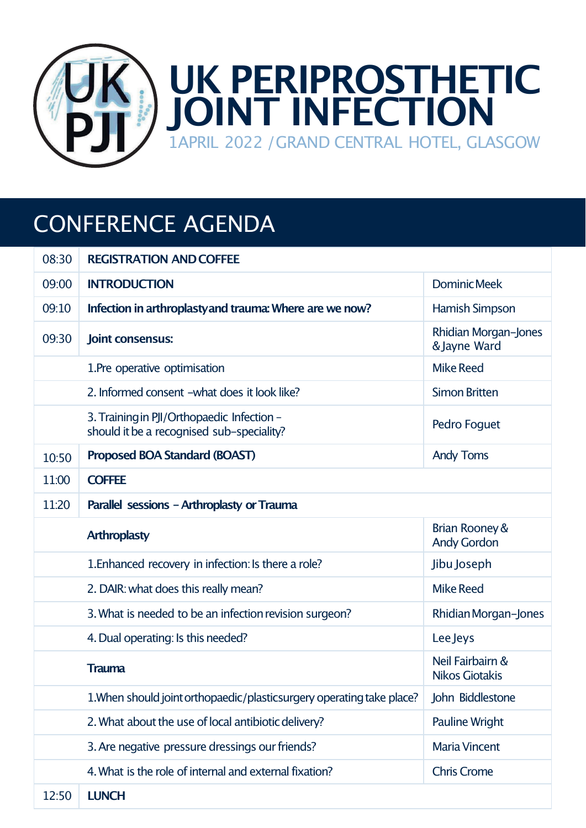

## CONFERENCE AGENDA

| 08:30 | <b>REGISTRATION AND COFFEE</b>                                                          |                                           |  |
|-------|-----------------------------------------------------------------------------------------|-------------------------------------------|--|
| 09:00 | <b>INTRODUCTION</b>                                                                     | <b>Dominic Meek</b>                       |  |
| 09:10 | Infection in arthroplasty and trauma: Where are we now?                                 | Hamish Simpson                            |  |
| 09:30 | Joint consensus:                                                                        | Rhidian Morgan-Jones<br>& Jayne Ward      |  |
|       | 1. Pre operative optimisation                                                           | <b>Mike Reed</b>                          |  |
|       | 2. Informed consent -what does it look like?                                            | <b>Simon Britten</b>                      |  |
|       | 3. Training in PJI/Orthopaedic Infection -<br>should it be a recognised sub-speciality? | Pedro Foguet                              |  |
| 10:50 | Proposed BOA Standard (BOAST)                                                           | <b>Andy Toms</b>                          |  |
| 11:00 | <b>COFFEE</b>                                                                           |                                           |  |
| 11:20 | Parallel sessions - Arthroplasty or Trauma                                              |                                           |  |
|       |                                                                                         |                                           |  |
|       | <b>Arthroplasty</b>                                                                     | Brian Rooney &<br><b>Andy Gordon</b>      |  |
|       | 1. Enhanced recovery in infection: Is there a role?                                     | Jibu Joseph                               |  |
|       | 2. DAIR: what does this really mean?                                                    | <b>Mike Reed</b>                          |  |
|       | 3. What is needed to be an infection revision surgeon?                                  | Rhidian Morgan-Jones                      |  |
|       | 4. Dual operating: Is this needed?                                                      | <b>Lee Jeys</b>                           |  |
|       | Trauma                                                                                  | Neil Fairbairn &<br><b>Nikos Giotakis</b> |  |
|       | 1. When should joint orthopaedic/plasticsurgery operating take place?                   | John Biddlestone                          |  |
|       | 2. What about the use of local antibiotic delivery?                                     | <b>Pauline Wright</b>                     |  |
|       | 3. Are negative pressure dressings our friends?                                         | <b>Maria Vincent</b>                      |  |
|       | 4. What is the role of internal and external fixation?                                  | <b>Chris Crome</b>                        |  |